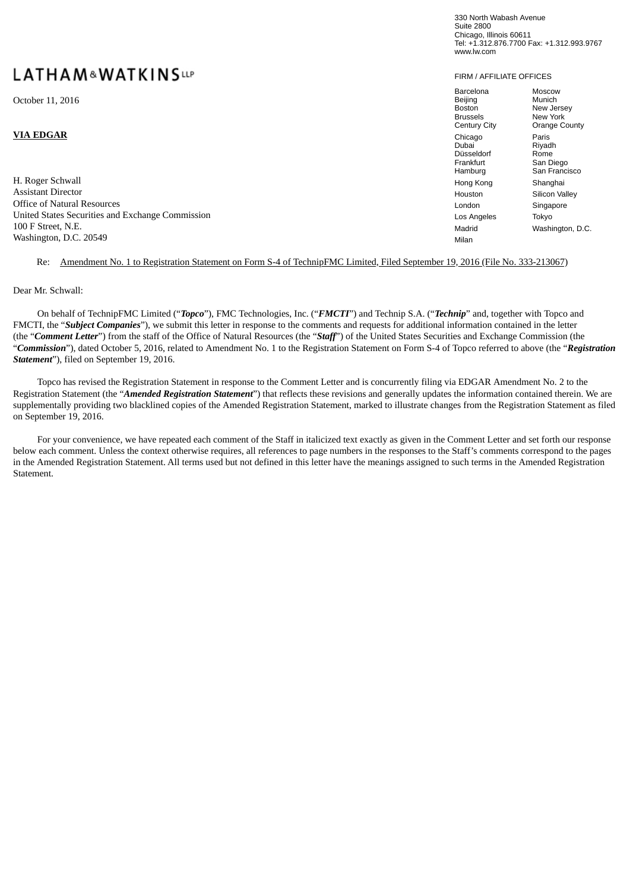# **LATHAM&WATKINSLLP**

H. Roger Schwall Hong Kong Shanghai Hong Kong Shanghai Hong Kong Shanghai Hong Shanghai Hong Shanghai Hong Shanghai Hong Shanghai Hong Shanghai Hong Shanghai Hong Shanghai Hong Shanghai Hong Shanghai Hong Shanghai Hong Sha Assistant Director Houston Silicon Valley Office of Natural Resources London Singapores London Singapores London Singapores London Singapores London Singapores London Singapores London Singapores London Singapores London Singapores London Singapores London Singapo United States Securities and Exchange Commission Los Angeles Tokyo Los Angeles Tokyo Los Angeles Tokyo Los Angeles Tokyo Los Angeles Tokyo Los Angeles Tokyo Los Angeles Tokyo Los Angeles Tokyo Los Angeles Tokyo Los Angeles 100 F Street, N.E. Madrid Washington, D.C. Washington, D.C. 20549 Milan

#### Re: Amendment No. 1 to Registration Statement on Form S-4 of TechnipFMC Limited, Filed September 19, 2016 (File No. 333-213067)

#### Dear Mr. Schwall:

On behalf of TechnipFMC Limited ("*Topco*"), FMC Technologies, Inc. ("*FMCTI*") and Technip S.A. ("*Technip*" and, together with Topco and FMCTI, the "*Subject Companies*"), we submit this letter in response to the comments and requests for additional information contained in the letter (the "*Comment Letter*") from the staff of the Office of Natural Resources (the "*Staff*") of the United States Securities and Exchange Commission (the "*Commission*"), dated October 5, 2016, related to Amendment No. 1 to the Registration Statement on Form S-4 of Topco referred to above (the "*Registration Statement*"), filed on September 19, 2016.

Topco has revised the Registration Statement in response to the Comment Letter and is concurrently filing via EDGAR Amendment No. 2 to the Registration Statement (the "*Amended Registration Statement*") that reflects these revisions and generally updates the information contained therein. We are supplementally providing two blacklined copies of the Amended Registration Statement, marked to illustrate changes from the Registration Statement as filed on September 19, 2016.

For your convenience, we have repeated each comment of the Staff in italicized text exactly as given in the Comment Letter and set forth our response below each comment. Unless the context otherwise requires, all references to page numbers in the responses to the Staff's comments correspond to the pages in the Amended Registration Statement. All terms used but not defined in this letter have the meanings assigned to such terms in the Amended Registration **Statement** 

330 North Wabash Avenue Suite 2800 Chicago, Illinois 60611 Tel: +1.312.876.7700 Fax: +1.312.993.9767 www.lw.com

#### FIRM / AFFILIATE OFFICES

| October 11, 2016                                 | Barcelona<br>Beijing<br>Boston<br><b>Brussels</b><br>Century City | Moscow<br>Munich<br>New Jersey<br>New York<br>Orange County |
|--------------------------------------------------|-------------------------------------------------------------------|-------------------------------------------------------------|
| VIA EDGAR                                        | Chicago<br>Dubai<br>Düsseldorf<br>Frankfurt<br>Hamburg            | Paris<br>Riyadh<br>Rome<br>San Diego<br>San Francisco       |
| H. Roger Schwall                                 | Hong Kong                                                         | Shanghai                                                    |
| Assistant Director                               | Houston                                                           | Silicon Valley                                              |
| Office of Natural Resources                      | London                                                            | Singapore                                                   |
| United States Securities and Exchange Commission | Los Angeles                                                       | Tokyo                                                       |
| 100 F Street, N.E.                               | Madrid                                                            | Washington, D.C                                             |
| $W$ chington $D C$ $20540$                       | $A = 11 - 12$                                                     |                                                             |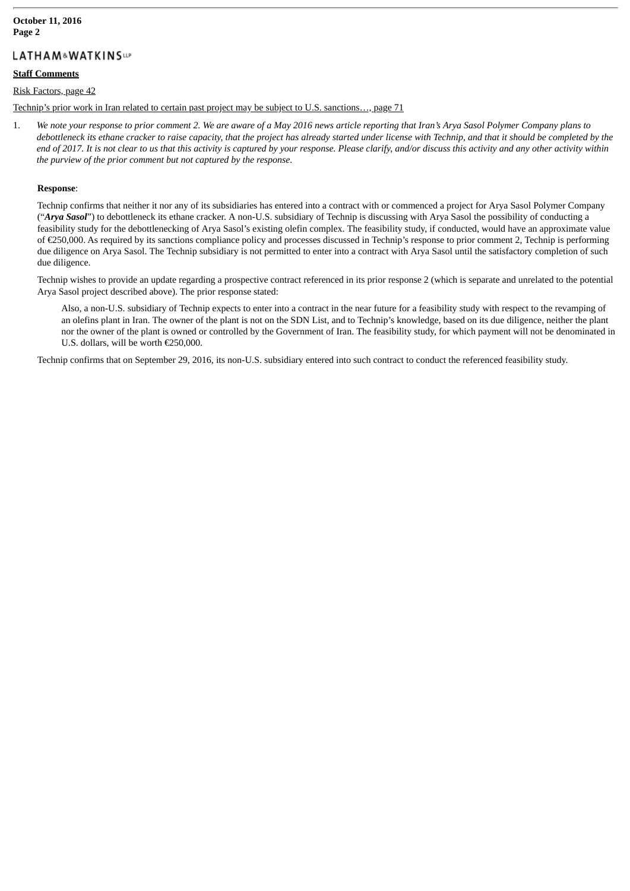# **LATHAM&WATKINSUP**

#### **Staff Comments**

#### Risk Factors, page 42

Technip's prior work in Iran related to certain past project may be subject to U.S. sanctions…, page 71

1. We note your response to prior comment 2. We are aware of a May 2016 news article reporting that Iran's Arya Sasol Polymer Company plans to debottleneck its ethane cracker to raise capacity, that the project has already started under license with Technip, and that it should be completed by the end of 2017. It is not clear to us that this activity is captured by your response. Please clarify, and/or discuss this activity and any other activity within *the purview of the prior comment but not captured by the response.*

#### **Response**:

Technip confirms that neither it nor any of its subsidiaries has entered into a contract with or commenced a project for Arya Sasol Polymer Company ("*Arya Sasol*") to debottleneck its ethane cracker. A non-U.S. subsidiary of Technip is discussing with Arya Sasol the possibility of conducting a feasibility study for the debottlenecking of Arya Sasol's existing olefin complex. The feasibility study, if conducted, would have an approximate value of €250,000. As required by its sanctions compliance policy and processes discussed in Technip's response to prior comment 2, Technip is performing due diligence on Arya Sasol. The Technip subsidiary is not permitted to enter into a contract with Arya Sasol until the satisfactory completion of such due diligence.

Technip wishes to provide an update regarding a prospective contract referenced in its prior response 2 (which is separate and unrelated to the potential Arya Sasol project described above). The prior response stated:

Also, a non-U.S. subsidiary of Technip expects to enter into a contract in the near future for a feasibility study with respect to the revamping of an olefins plant in Iran. The owner of the plant is not on the SDN List, and to Technip's knowledge, based on its due diligence, neither the plant nor the owner of the plant is owned or controlled by the Government of Iran. The feasibility study, for which payment will not be denominated in U.S. dollars, will be worth €250,000.

Technip confirms that on September 29, 2016, its non-U.S. subsidiary entered into such contract to conduct the referenced feasibility study.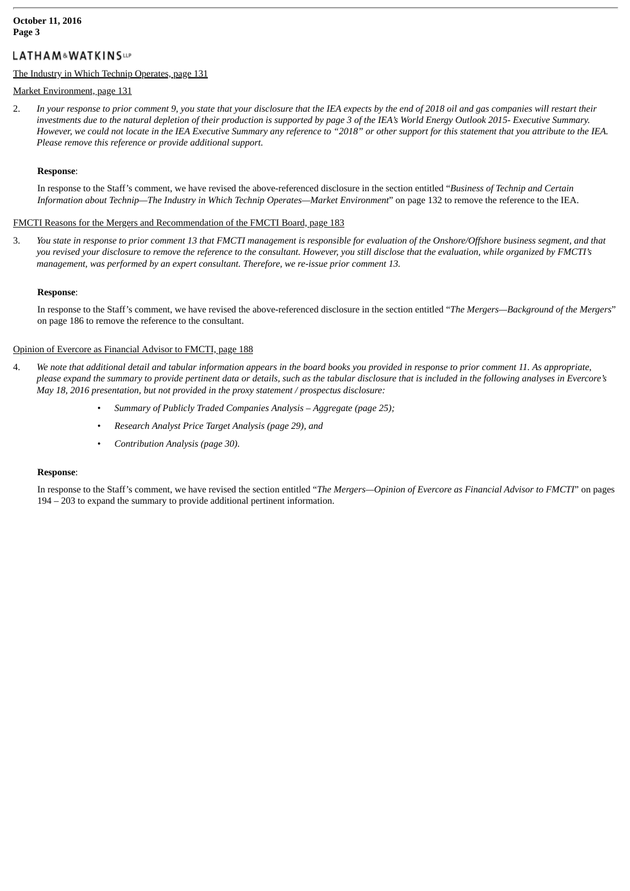# **LATHAM&WATKINSUP**

#### The Industry in Which Technip Operates, page 131

## Market Environment, page 131

2. In your response to prior comment 9, you state that your disclosure that the IEA expects by the end of 2018 oil and gas companies will restart their investments due to the natural depletion of their production is supported by page 3 of the IEA's World Energy Outlook 2015- Executive Summary. However, we could not locate in the IEA Executive Summary any reference to "2018" or other support for this statement that you attribute to the IEA. *Please remove this reference or provide additional support.*

# **Response**:

In response to the Staff's comment, we have revised the above-referenced disclosure in the section entitled "*Business of Technip and Certain Information about Technip—The Industry in Which Technip Operates—Market Environment*" on page 132 to remove the reference to the IEA.

# FMCTI Reasons for the Mergers and Recommendation of the FMCTI Board, page 183

3. You state in response to prior comment 13 that FMCTI management is responsible for evaluation of the Onshore/Offshore business segment, and that you revised your disclosure to remove the reference to the consultant. However, you still disclose that the evaluation, while organized by FMCTI's *management, was performed by an expert consultant. Therefore, we re-issue prior comment 13.*

# **Response**:

In response to the Staff's comment, we have revised the above-referenced disclosure in the section entitled "*The Mergers—Background of the Mergers*" on page 186 to remove the reference to the consultant.

# Opinion of Evercore as Financial Advisor to FMCTI, page 188

- 4. We note that additional detail and tabular information appears in the board books you provided in response to prior comment 11. As appropriate, please expand the summary to provide pertinent data or details, such as the tabular disclosure that is included in the following analyses in Evercore's *May 18, 2016 presentation, but not provided in the proxy statement / prospectus disclosure:*
	- *Summary of Publicly Traded Companies Analysis – Aggregate (page 25);*
	- *Research Analyst Price Target Analysis (page 29), and*
	- *Contribution Analysis (page 30).*

# **Response**:

In response to the Staff's comment, we have revised the section entitled "*The Mergers—Opinion of Evercore as Financial Advisor to FMCTI*" on pages 194 – 203 to expand the summary to provide additional pertinent information.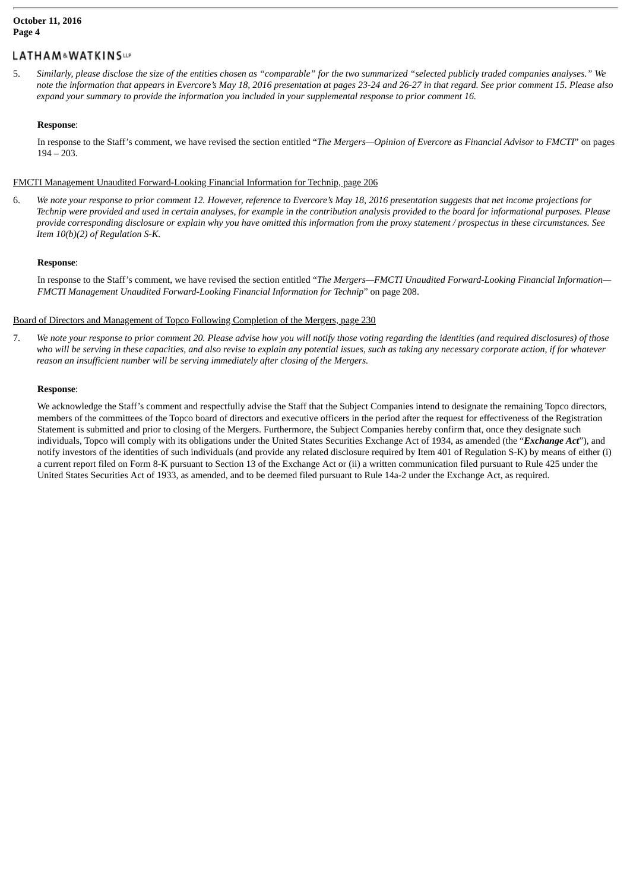# **LATHAM&WATKINSUP**

5. Similarly, please disclose the size of the entities chosen as "comparable" for the two summarized "selected publicly traded companies analyses." We note the information that appears in Evercore's May 18, 2016 presentation at pages 23-24 and 26-27 in that regard. See prior comment 15. Please also expand your summary to provide the information you included in your supplemental response to prior comment 16.

# **Response**:

In response to the Staff's comment, we have revised the section entitled "*The Mergers—Opinion of Evercore as Financial Advisor to FMCTI*" on pages 194 – 203.

# FMCTI Management Unaudited Forward-Looking Financial Information for Technip, page 206

6. We note your response to prior comment 12. However, reference to Evercore's May 18, 2016 presentation suggests that net income projections for Technip were provided and used in certain analyses, for example in the contribution analysis provided to the board for informational purposes. Please provide corresponding disclosure or explain why you have omitted this information from the proxy statement / prospectus in these circumstances. See *Item 10(b)(2) of Regulation S-K.*

# **Response**:

In response to the Staff's comment, we have revised the section entitled "*The Mergers—FMCTI Unaudited Forward-Looking Financial Information— FMCTI Management Unaudited Forward-Looking Financial Information for Technip*" on page 208.

# Board of Directors and Management of Topco Following Completion of the Mergers, page 230

7. We note your response to prior comment 20. Please advise how you will notify those voting regarding the identities (and required disclosures) of those who will be serving in these capacities, and also revise to explain any potential issues, such as taking any necessary corporate action, if for whatever *reason an insufficient number will be serving immediately after closing of the Mergers.*

# **Response**:

We acknowledge the Staff's comment and respectfully advise the Staff that the Subject Companies intend to designate the remaining Topco directors, members of the committees of the Topco board of directors and executive officers in the period after the request for effectiveness of the Registration Statement is submitted and prior to closing of the Mergers. Furthermore, the Subject Companies hereby confirm that, once they designate such individuals, Topco will comply with its obligations under the United States Securities Exchange Act of 1934, as amended (the "*Exchange Act*"), and notify investors of the identities of such individuals (and provide any related disclosure required by Item 401 of Regulation S-K) by means of either (i) a current report filed on Form 8-K pursuant to Section 13 of the Exchange Act or (ii) a written communication filed pursuant to Rule 425 under the United States Securities Act of 1933, as amended, and to be deemed filed pursuant to Rule 14a-2 under the Exchange Act, as required.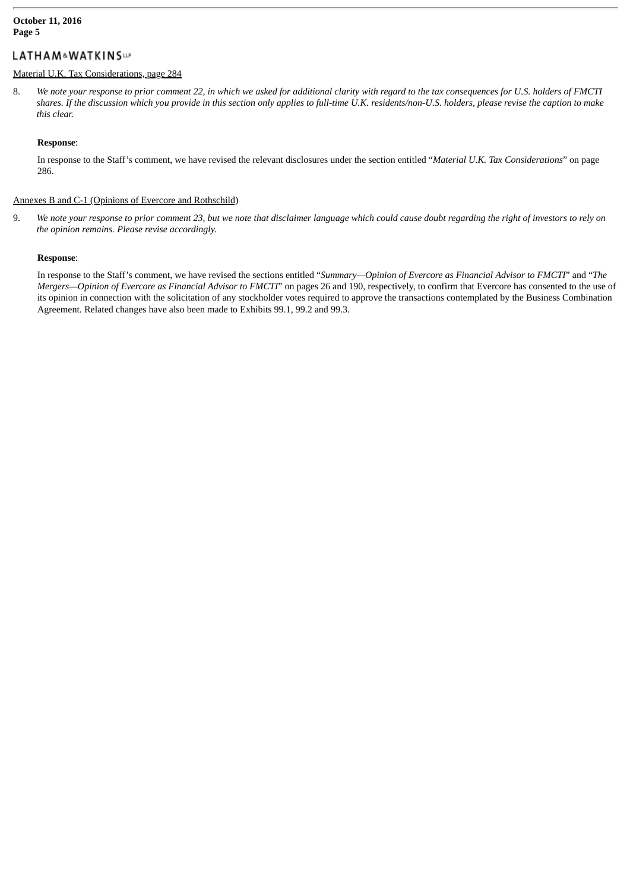# LATHAM&WATKINSUP

# Material U.K. Tax Considerations, page 284

8. We note your response to prior comment 22, in which we asked for additional clarity with regard to the tax consequences for U.S. holders of FMCTI shares. If the discussion which you provide in this section only applies to full-time U.K. residents/non-U.S. holders, please revise the caption to make *this clear.*

#### **Response**:

In response to the Staff's comment, we have revised the relevant disclosures under the section entitled "*Material U.K. Tax Considerations*" on page 286.

#### Annexes B and C-1 (Opinions of Evercore and Rothschild)

9. We note your response to prior comment 23, but we note that disclaimer language which could cause doubt regarding the right of investors to rely on *the opinion remains. Please revise accordingly.*

#### **Response**:

In response to the Staff's comment, we have revised the sections entitled "*Summary—Opinion of Evercore as Financial Advisor to FMCTI*" and "*The Mergers—Opinion of Evercore as Financial Advisor to FMCTI*" on pages 26 and 190, respectively, to confirm that Evercore has consented to the use of its opinion in connection with the solicitation of any stockholder votes required to approve the transactions contemplated by the Business Combination Agreement. Related changes have also been made to Exhibits 99.1, 99.2 and 99.3.